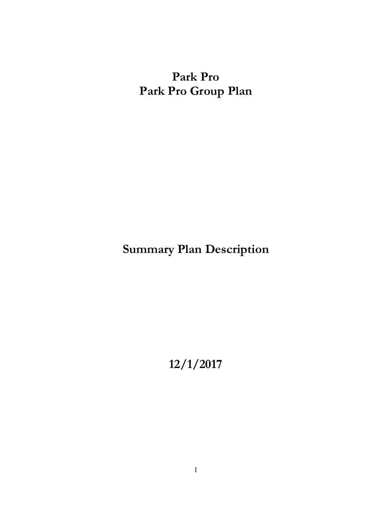# **Park Pro Park Pro Group Plan**

**Summary Plan Description** 

**12/1/2017**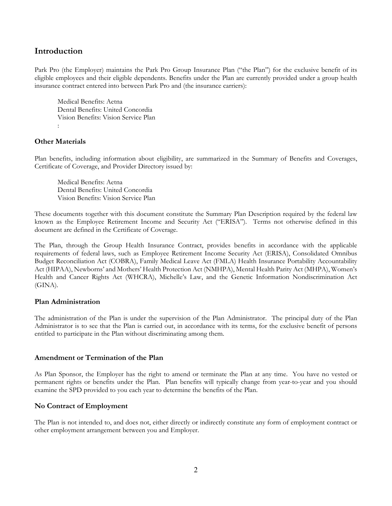# **Introduction**

Park Pro (the Employer) maintains the Park Pro Group Insurance Plan ("the Plan") for the exclusive benefit of its eligible employees and their eligible dependents. Benefits under the Plan are currently provided under a group health insurance contract entered into between Park Pro and (the insurance carriers):

Medical Benefits: Aetna Dental Benefits: United Concordia Vision Benefits: Vision Service Plan :

#### **Other Materials**

Plan benefits, including information about eligibility, are summarized in the Summary of Benefits and Coverages, Certificate of Coverage, and Provider Directory issued by:

Medical Benefits: Aetna Dental Benefits: United Concordia Vision Benefits: Vision Service Plan

These documents together with this document constitute the Summary Plan Description required by the federal law known as the Employee Retirement Income and Security Act ("ERISA"). Terms not otherwise defined in this document are defined in the Certificate of Coverage.

The Plan, through the Group Health Insurance Contract, provides benefits in accordance with the applicable requirements of federal laws, such as Employee Retirement Income Security Act (ERISA), Consolidated Omnibus Budget Reconciliation Act (COBRA), Family Medical Leave Act (FMLA) Health Insurance Portability Accountability Act (HIPAA), Newborns' and Mothers' Health Protection Act (NMHPA), Mental Health Parity Act (MHPA), Women's Health and Cancer Rights Act (WHCRA), Michelle's Law, and the Genetic Information Nondiscrimination Act (GINA).

#### **Plan Administration**

The administration of the Plan is under the supervision of the Plan Administrator. The principal duty of the Plan Administrator is to see that the Plan is carried out, in accordance with its terms, for the exclusive benefit of persons entitled to participate in the Plan without discriminating among them.

#### **Amendment or Termination of the Plan**

As Plan Sponsor, the Employer has the right to amend or terminate the Plan at any time. You have no vested or permanent rights or benefits under the Plan. Plan benefits will typically change from year-to-year and you should examine the SPD provided to you each year to determine the benefits of the Plan.

#### **No Contract of Employment**

The Plan is not intended to, and does not, either directly or indirectly constitute any form of employment contract or other employment arrangement between you and Employer.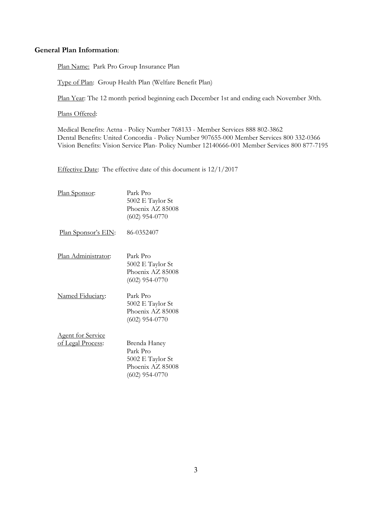## **General Plan Information**:

Plan Name: Park Pro Group Insurance Plan

Type of Plan: Group Health Plan (Welfare Benefit Plan)

Plan Year: The 12 month period beginning each December 1st and ending each November 30th.

Plans Offered:

Medical Benefits: Aetna - Policy Number 768133 - Member Services 888 802-3862 Dental Benefits: United Concordia - Policy Number 907655-000 Member Services 800 332-0366 Vision Benefits: Vision Service Plan- Policy Number 12140666-001 Member Services 800 877-7195

Effective Date: The effective date of this document is 12/1/2017

| <u>Plan Sponsor:</u>                          | Park Pro<br>5002 E Taylor St<br>Phoenix AZ 85008<br>$(602)$ 954-0770                 |
|-----------------------------------------------|--------------------------------------------------------------------------------------|
| <u>Plan Sponsor's EIN</u> :                   | 86-0352407                                                                           |
| <u>Plan Administrator:</u>                    | Park Pro<br>5002 E Taylor St<br>Phoenix AZ 85008<br>$(602)$ 954-0770                 |
| Named Fiduciary:                              | Park Pro<br>5002 E Taylor St<br>Phoenix AZ 85008<br>$(602)$ 954-0770                 |
| <b>Agent for Service</b><br>of Legal Process: | Brenda Haney<br>Park Pro<br>5002 E Taylor St<br>Phoenix AZ 85008<br>$(602)$ 954-0770 |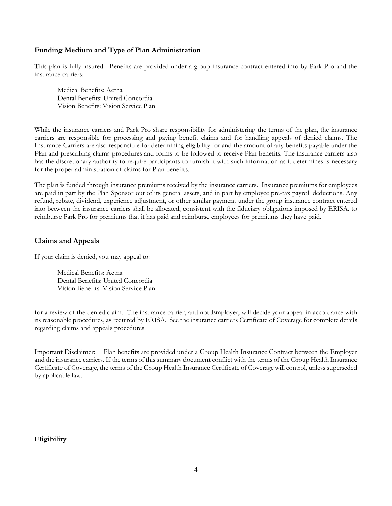## **Funding Medium and Type of Plan Administration**

This plan is fully insured. Benefits are provided under a group insurance contract entered into by Park Pro and the insurance carriers:

Medical Benefits: Aetna Dental Benefits: United Concordia Vision Benefits: Vision Service Plan

While the insurance carriers and Park Pro share responsibility for administering the terms of the plan, the insurance carriers are responsible for processing and paying benefit claims and for handling appeals of denied claims. The Insurance Carriers are also responsible for determining eligibility for and the amount of any benefits payable under the Plan and prescribing claims procedures and forms to be followed to receive Plan benefits. The insurance carriers also has the discretionary authority to require participants to furnish it with such information as it determines is necessary for the proper administration of claims for Plan benefits.

The plan is funded through insurance premiums received by the insurance carriers. Insurance premiums for employees are paid in part by the Plan Sponsor out of its general assets, and in part by employee pre-tax payroll deductions. Any refund, rebate, dividend, experience adjustment, or other similar payment under the group insurance contract entered into between the insurance carriers shall be allocated, consistent with the fiduciary obligations imposed by ERISA, to reimburse Park Pro for premiums that it has paid and reimburse employees for premiums they have paid.

# **Claims and Appeals**

If your claim is denied, you may appeal to:

Medical Benefits: Aetna Dental Benefits: United Concordia Vision Benefits: Vision Service Plan

for a review of the denied claim. The insurance carrier, and not Employer, will decide your appeal in accordance with its reasonable procedures, as required by ERISA. See the insurance carriers Certificate of Coverage for complete details regarding claims and appeals procedures.

Important Disclaimer: Plan benefits are provided under a Group Health Insurance Contract between the Employer and the insurance carriers. If the terms of this summary document conflict with the terms of the Group Health Insurance Certificate of Coverage, the terms of the Group Health Insurance Certificate of Coverage will control, unless superseded by applicable law.

#### **Eligibility**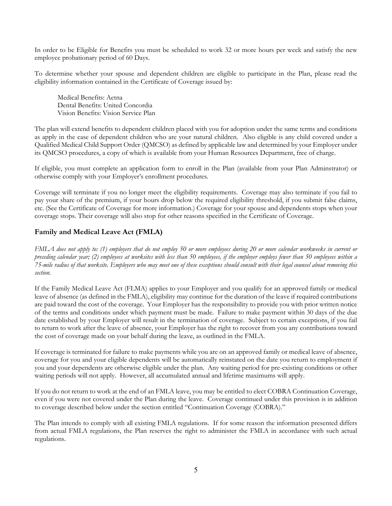In order to be Eligible for Benefits you must be scheduled to work 32 or more hours per week and satisfy the new employee probationary period of 60 Days.

To determine whether your spouse and dependent children are eligible to participate in the Plan, please read the eligibility information contained in the Certificate of Coverage issued by:

Medical Benefits: Aetna Dental Benefits: United Concordia Vision Benefits: Vision Service Plan

The plan will extend benefits to dependent children placed with you for adoption under the same terms and conditions as apply in the case of dependent children who are your natural children. Also eligible is any child covered under a Qualified Medical Child Support Order (QMCSO) as defined by applicable law and determined by your Employer under its QMCSO procedures, a copy of which is available from your Human Resources Department, free of charge.

If eligible, you must complete an application form to enroll in the Plan (available from your Plan Adminstrator) or otherwise comply with your Employer's enrollment procedures.

Coverage will terminate if you no longer meet the eligibility requirements. Coverage may also terminate if you fail to pay your share of the premium, if your hours drop below the required eligibility threshold, if you submit false claims, etc. (See the Certificate of Coverage for more information.) Coverage for your spouse and dependents stops when your coverage stops. Their coverage will also stop for other reasons specified in the Certificate of Coverage.

# **Family and Medical Leave Act (FMLA)**

*FMLA does not apply to: (1) employers that do not employ 50 or more employees during 20 or more calendar workweeks in current or preceding calendar year; (2) employees at worksites with less than 50 employees, if the employer employs fewer than 50 employees within a 75-mile radius of that worksite. Employers who may meet one of these exceptions should consult with their legal counsel about removing this section.* 

If the Family Medical Leave Act (FLMA) applies to your Employer and you qualify for an approved family or medical leave of absence (as defined in the FMLA), eligibility may continue for the duration of the leave if required contributions are paid toward the cost of the coverage. Your Employer has the responsibility to provide you with prior written notice of the terms and conditions under which payment must be made. Failure to make payment within 30 days of the due date established by your Employer will result in the termination of coverage. Subject to certain exceptions, if you fail to return to work after the leave of absence, your Employer has the right to recover from you any contributions toward the cost of coverage made on your behalf during the leave, as outlined in the FMLA.

If coverage is terminated for failure to make payments while you are on an approved family or medical leave of absence, coverage for you and your eligible dependents will be automatically reinstated on the date you return to employment if you and your dependents are otherwise eligible under the plan. Any waiting period for pre-existing conditions or other waiting periods will not apply. However, all accumulated annual and lifetime maximums will apply.

If you do not return to work at the end of an FMLA leave, you may be entitled to elect COBRA Continuation Coverage, even if you were not covered under the Plan during the leave. Coverage continued under this provision is in addition to coverage described below under the section entitled "Continuation Coverage (COBRA)."

The Plan intends to comply with all existing FMLA regulations. If for some reason the information presented differs from actual FMLA regulations, the Plan reserves the right to administer the FMLA in accordance with such actual regulations.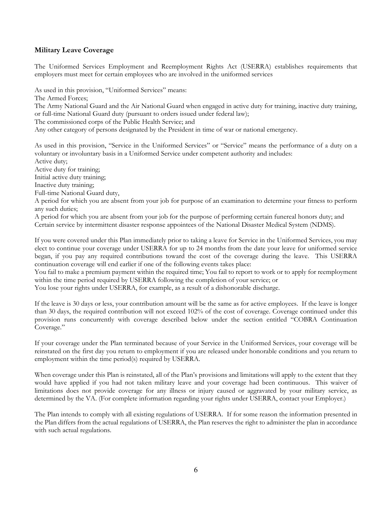## **Military Leave Coverage**

The Uniformed Services Employment and Reemployment Rights Act (USERRA) establishes requirements that employers must meet for certain employees who are involved in the uniformed services

As used in this provision, "Uniformed Services" means:

The Armed Forces;

The Army National Guard and the Air National Guard when engaged in active duty for training, inactive duty training, or full-time National Guard duty (pursuant to orders issued under federal law);

The commissioned corps of the Public Health Service; and

Any other category of persons designated by the President in time of war or national emergency.

As used in this provision, "Service in the Uniformed Services" or "Service" means the performance of a duty on a voluntary or involuntary basis in a Uniformed Service under competent authority and includes: Active duty;

Active duty for training;

Initial active duty training;

Inactive duty training;

Full-time National Guard duty,

A period for which you are absent from your job for purpose of an examination to determine your fitness to perform any such duties;

A period for which you are absent from your job for the purpose of performing certain funereal honors duty; and Certain service by intermittent disaster response appointees of the National Disaster Medical System (NDMS).

If you were covered under this Plan immediately prior to taking a leave for Service in the Uniformed Services, you may elect to continue your coverage under USERRA for up to 24 months from the date your leave for uniformed service began, if you pay any required contributions toward the cost of the coverage during the leave. This USERRA continuation coverage will end earlier if one of the following events takes place:

You fail to make a premium payment within the required time; You fail to report to work or to apply for reemployment within the time period required by USERRA following the completion of your service; or

You lose your rights under USERRA, for example, as a result of a dishonorable discharge.

If the leave is 30 days or less, your contribution amount will be the same as for active employees. If the leave is longer than 30 days, the required contribution will not exceed 102% of the cost of coverage. Coverage continued under this provision runs concurrently with coverage described below under the section entitled "COBRA Continuation Coverage."

If your coverage under the Plan terminated because of your Service in the Uniformed Services, your coverage will be reinstated on the first day you return to employment if you are released under honorable conditions and you return to employment within the time period(s) required by USERRA.

When coverage under this Plan is reinstated, all of the Plan's provisions and limitations will apply to the extent that they would have applied if you had not taken military leave and your coverage had been continuous. This waiver of limitations does not provide coverage for any illness or injury caused or aggravated by your military service, as determined by the VA. (For complete information regarding your rights under USERRA, contact your Employer.)

The Plan intends to comply with all existing regulations of USERRA. If for some reason the information presented in the Plan differs from the actual regulations of USERRA, the Plan reserves the right to administer the plan in accordance with such actual regulations.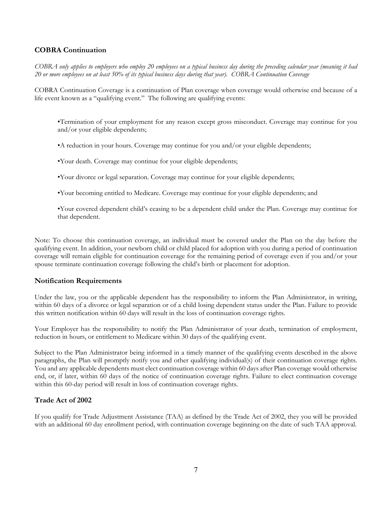# **COBRA Continuation**

*COBRA only applies to employers who employ 20 employees on a typical business day during the preceding calendar year (meaning it had 20 or more employees on at least 50% of its typical business days during that year). COBRA Continuation Coverage* 

COBRA Continuation Coverage is a continuation of Plan coverage when coverage would otherwise end because of a life event known as a "qualifying event." The following are qualifying events:

•Termination of your employment for any reason except gross misconduct. Coverage may continue for you and/or your eligible dependents;

•A reduction in your hours. Coverage may continue for you and/or your eligible dependents;

•Your death. Coverage may continue for your eligible dependents;

•Your divorce or legal separation. Coverage may continue for your eligible dependents;

•Your becoming entitled to Medicare. Coverage may continue for your eligible dependents; and

•Your covered dependent child's ceasing to be a dependent child under the Plan. Coverage may continue for that dependent.

Note: To choose this continuation coverage, an individual must be covered under the Plan on the day before the qualifying event. In addition, your newborn child or child placed for adoption with you during a period of continuation coverage will remain eligible for continuation coverage for the remaining period of coverage even if you and/or your spouse terminate continuation coverage following the child's birth or placement for adoption.

#### **Notification Requirements**

Under the law, you or the applicable dependent has the responsibility to inform the Plan Administrator, in writing, within 60 days of a divorce or legal separation or of a child losing dependent status under the Plan. Failure to provide this written notification within 60 days will result in the loss of continuation coverage rights.

Your Employer has the responsibility to notify the Plan Administrator of your death, termination of employment, reduction in hours, or entitlement to Medicare within 30 days of the qualifying event.

Subject to the Plan Administrator being informed in a timely manner of the qualifying events described in the above paragraphs, the Plan will promptly notify you and other qualifying individual(s) of their continuation coverage rights. You and any applicable dependents must elect continuation coverage within 60 days after Plan coverage would otherwise end, or, if later, within 60 days of the notice of continuation coverage rights. Failure to elect continuation coverage within this 60-day period will result in loss of continuation coverage rights.

# **Trade Act of 2002**

If you qualify for Trade Adjustment Assistance (TAA) as defined by the Trade Act of 2002, they you will be provided with an additional 60 day enrollment period, with continuation coverage beginning on the date of such TAA approval.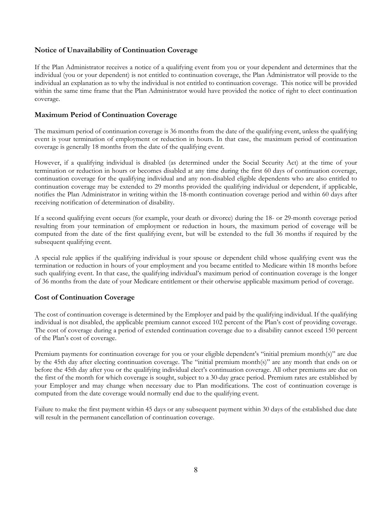## **Notice of Unavailability of Continuation Coverage**

If the Plan Administrator receives a notice of a qualifying event from you or your dependent and determines that the individual (you or your dependent) is not entitled to continuation coverage, the Plan Administrator will provide to the individual an explanation as to why the individual is not entitled to continuation coverage. This notice will be provided within the same time frame that the Plan Administrator would have provided the notice of right to elect continuation coverage.

## **Maximum Period of Continuation Coverage**

The maximum period of continuation coverage is 36 months from the date of the qualifying event, unless the qualifying event is your termination of employment or reduction in hours. In that case, the maximum period of continuation coverage is generally 18 months from the date of the qualifying event.

However, if a qualifying individual is disabled (as determined under the Social Security Act) at the time of your termination or reduction in hours or becomes disabled at any time during the first 60 days of continuation coverage, continuation coverage for the qualifying individual and any non-disabled eligible dependents who are also entitled to continuation coverage may be extended to 29 months provided the qualifying individual or dependent, if applicable, notifies the Plan Administrator in writing within the 18-month continuation coverage period and within 60 days after receiving notification of determination of disability.

If a second qualifying event occurs (for example, your death or divorce) during the 18- or 29-month coverage period resulting from your termination of employment or reduction in hours, the maximum period of coverage will be computed from the date of the first qualifying event, but will be extended to the full 36 months if required by the subsequent qualifying event.

A special rule applies if the qualifying individual is your spouse or dependent child whose qualifying event was the termination or reduction in hours of your employment and you became entitled to Medicare within 18 months before such qualifying event. In that case, the qualifying individual's maximum period of continuation coverage is the longer of 36 months from the date of your Medicare entitlement or their otherwise applicable maximum period of coverage.

# **Cost of Continuation Coverage**

The cost of continuation coverage is determined by the Employer and paid by the qualifying individual. If the qualifying individual is not disabled, the applicable premium cannot exceed 102 percent of the Plan's cost of providing coverage. The cost of coverage during a period of extended continuation coverage due to a disability cannot exceed 150 percent of the Plan's cost of coverage.

Premium payments for continuation coverage for you or your eligible dependent's "initial premium month(s)" are due by the 45th day after electing continuation coverage. The "initial premium month(s)" are any month that ends on or before the 45th day after you or the qualifying individual elect's continuation coverage. All other premiums are due on the first of the month for which coverage is sought, subject to a 30-day grace period. Premium rates are established by your Employer and may change when necessary due to Plan modifications. The cost of continuation coverage is computed from the date coverage would normally end due to the qualifying event.

Failure to make the first payment within 45 days or any subsequent payment within 30 days of the established due date will result in the permanent cancellation of continuation coverage.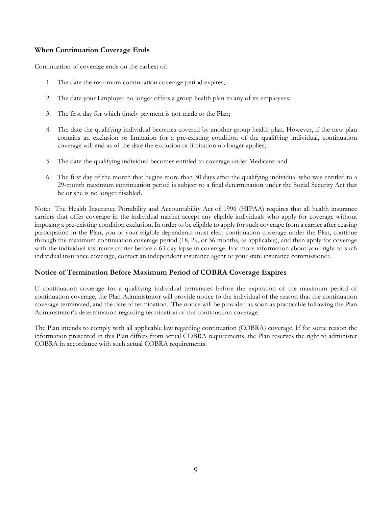# **When Continuation Coverage Ends**

Continuation of coverage ends on the earliest of:

- 1. The date the maximum continuation coverage period expires;
- 2. The date your Employer no longer offers a group health plan to any of its employees;
- 3. The first day for which timely payment is not made to the Plan;
- 4. The date the qualifying individual becomes covered by another group health plan. However, if the new plan contains an exclusion or limitation for a pre-existing condition of the qualifying individual, continuation coverage will end as of the date the exclusion or limitation no longer applies;
- 5. The date the qualifying individual becomes entitled to coverage under Medicare; and
- 6. The first day of the month that begins more than 30 days after the qualifying individual who was entitled to a 29-month maximum continuation period is subject to a final determination under the Social Security Act that he or she is no longer disabled.

Note: The Health Insurance Portability and Accountability Act of 1996 (HIPAA) requires that all health insurance carriers that offer coverage in the individual market accept any eligible individuals who apply for coverage without imposing a pre-existing condition exclusion. In order to be eligible to apply for such coverage from a carrier after ceasing participation in the Plan, you or your eligible dependents must elect continuation coverage under the Plan, continue through the maximum continuation coverage period (18, 29, or 36 months, as applicable), and then apply for coverage with the individual insurance carrier before a 63 day lapse in coverage. For more information about your right to such individual insurance coverage, contact an independent insurance agent or your state insurance commissioner.

# **Notice of Termination Before Maximum Period of COBRA Coverage Expires**

If continuation coverage for a qualifying individual terminates before the expiration of the maximum period of continuation coverage, the Plan Administrator will provide notice to the individual of the reason that the continuation coverage terminated, and the date of termination. The notice will be provided as soon as practicable following the Plan Administrator's determination regarding termination of the continuation coverage.

The Plan intends to comply with all applicable law regarding continuation (COBRA) coverage. If for some reason the information presented in this Plan differs from actual COBRA requirements, the Plan reserves the right to administer COBRA in accordance with such actual COBRA requirements.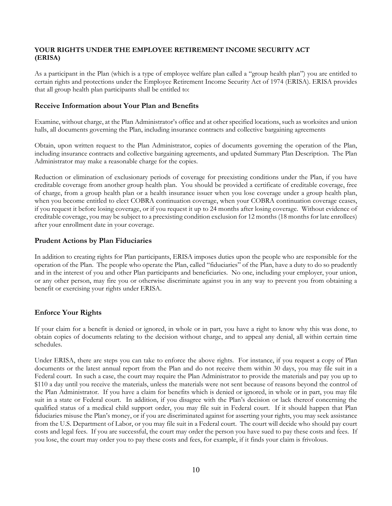## **YOUR RIGHTS UNDER THE EMPLOYEE RETIREMENT INCOME SECURITY ACT (ERISA)**

As a participant in the Plan (which is a type of employee welfare plan called a "group health plan") you are entitled to certain rights and protections under the Employee Retirement Income Security Act of 1974 (ERISA). ERISA provides that all group health plan participants shall be entitled to:

## **Receive Information about Your Plan and Benefits**

Examine, without charge, at the Plan Administrator's office and at other specified locations, such as worksites and union halls, all documents governing the Plan, including insurance contracts and collective bargaining agreements

Obtain, upon written request to the Plan Administrator, copies of documents governing the operation of the Plan, including insurance contracts and collective bargaining agreements, and updated Summary Plan Description. The Plan Administrator may make a reasonable charge for the copies.

Reduction or elimination of exclusionary periods of coverage for preexisting conditions under the Plan, if you have creditable coverage from another group health plan. You should be provided a certificate of creditable coverage, free of charge, from a group health plan or a health insurance issuer when you lose coverage under a group health plan, when you become entitled to elect COBRA continuation coverage, when your COBRA continuation coverage ceases, if you request it before losing coverage, or if you request it up to 24 months after losing coverage. Without evidence of creditable coverage, you may be subject to a preexisting condition exclusion for 12 months (18 months for late enrollees) after your enrollment date in your coverage.

#### **Prudent Actions by Plan Fiduciaries**

In addition to creating rights for Plan participants, ERISA imposes duties upon the people who are responsible for the operation of the Plan. The people who operate the Plan, called "fiduciaries" of the Plan, have a duty to do so prudently and in the interest of you and other Plan participants and beneficiaries. No one, including your employer, your union, or any other person, may fire you or otherwise discriminate against you in any way to prevent you from obtaining a benefit or exercising your rights under ERISA.

# **Enforce Your Rights**

If your claim for a benefit is denied or ignored, in whole or in part, you have a right to know why this was done, to obtain copies of documents relating to the decision without charge, and to appeal any denial, all within certain time schedules.

Under ERISA, there are steps you can take to enforce the above rights. For instance, if you request a copy of Plan documents or the latest annual report from the Plan and do not receive them within 30 days, you may file suit in a Federal court. In such a case, the court may require the Plan Administrator to provide the materials and pay you up to \$110 a day until you receive the materials, unless the materials were not sent because of reasons beyond the control of the Plan Administrator. If you have a claim for benefits which is denied or ignored, in whole or in part, you may file suit in a state or Federal court. In addition, if you disagree with the Plan's decision or lack thereof concerning the qualified status of a medical child support order, you may file suit in Federal court. If it should happen that Plan fiduciaries misuse the Plan's money, or if you are discriminated against for asserting your rights, you may seek assistance from the U.S. Department of Labor, or you may file suit in a Federal court. The court will decide who should pay court costs and legal fees. If you are successful, the court may order the person you have sued to pay these costs and fees. If you lose, the court may order you to pay these costs and fees, for example, if it finds your claim is frivolous.